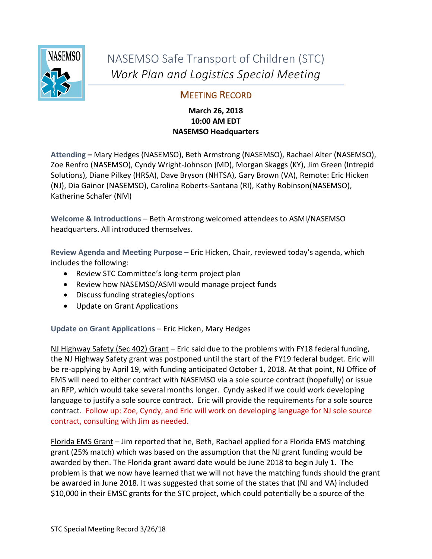

NASEMSO Safe Transport of Children (STC) *Work Plan and Logistics Special Meeting*

## MEETING RECORD

## **March 26, 2018 10:00 AM EDT NASEMSO Headquarters**

**Attending –** Mary Hedges (NASEMSO), Beth Armstrong (NASEMSO), Rachael Alter (NASEMSO), Zoe Renfro (NASEMSO), Cyndy Wright-Johnson (MD), Morgan Skaggs (KY), Jim Green (Intrepid Solutions), Diane Pilkey (HRSA), Dave Bryson (NHTSA), Gary Brown (VA), Remote: Eric Hicken (NJ), Dia Gainor (NASEMSO), Carolina Roberts-Santana (RI), Kathy Robinson(NASEMSO), Katherine Schafer (NM)

Welcome & Introductions – Beth Armstrong welcomed attendees to ASMI/NASEMSO headquarters. All introduced themselves.

**Review Agenda and Meeting Purpose** – Eric Hicken, Chair, reviewed today's agenda, which includes the following:

- Review STC Committee's long-term project plan
- Review how NASEMSO/ASMI would manage project funds
- Discuss funding strategies/options
- Update on Grant Applications

**Update on Grant Applications** – Eric Hicken, Mary Hedges

NJ Highway Safety (Sec 402) Grant - Eric said due to the problems with FY18 federal funding, the NJ Highway Safety grant was postponed until the start of the FY19 federal budget. Eric will be re-applying by April 19, with funding anticipated October 1, 2018. At that point, NJ Office of EMS will need to either contract with NASEMSO via a sole source contract (hopefully) or issue an RFP, which would take several months longer. Cyndy asked if we could work developing language to justify a sole source contract. Eric will provide the requirements for a sole source contract. Follow up: Zoe, Cyndy, and Eric will work on developing language for NJ sole source contract, consulting with Jim as needed.

Florida EMS Grant - Jim reported that he, Beth, Rachael applied for a Florida EMS matching grant (25% match) which was based on the assumption that the NJ grant funding would be awarded by then. The Florida grant award date would be June 2018 to begin July 1. The problem is that we now have learned that we will not have the matching funds should the grant be awarded in June 2018. It was suggested that some of the states that (NJ and VA) included \$10,000 in their EMSC grants for the STC project, which could potentially be a source of the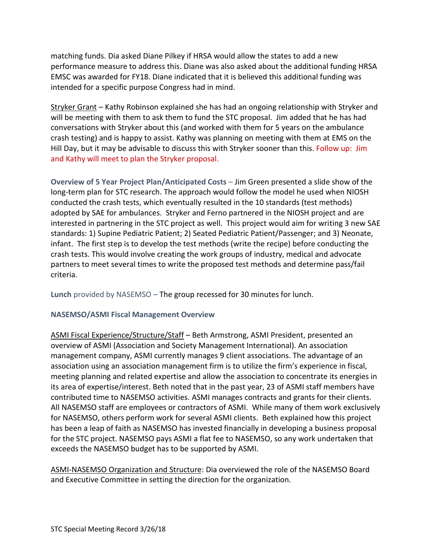matching funds. Dia asked Diane Pilkey if HRSA would allow the states to add a new performance measure to address this. Diane was also asked about the additional funding HRSA EMSC was awarded for FY18. Diane indicated that it is believed this additional funding was intended for a specific purpose Congress had in mind.

Stryker Grant – Kathy Robinson explained she has had an ongoing relationship with Stryker and will be meeting with them to ask them to fund the STC proposal. Jim added that he has had conversations with Stryker about this (and worked with them for 5 years on the ambulance crash testing) and is happy to assist. Kathy was planning on meeting with them at EMS on the Hill Day, but it may be advisable to discuss this with Stryker sooner than this. Follow up: Jim and Kathy will meet to plan the Stryker proposal.

**Overview of 5 Year Project Plan/Anticipated Costs** – Jim Green presented a slide show of the long-term plan for STC research. The approach would follow the model he used when NIOSH conducted the crash tests, which eventually resulted in the 10 standards (test methods) adopted by SAE for ambulances. Stryker and Ferno partnered in the NIOSH project and are interested in partnering in the STC project as well. This project would aim for writing 3 new SAE standards: 1) Supine Pediatric Patient; 2) Seated Pediatric Patient/Passenger; and 3) Neonate, infant. The first step is to develop the test methods (write the recipe) before conducting the crash tests. This would involve creating the work groups of industry, medical and advocate partners to meet several times to write the proposed test methods and determine pass/fail criteria.

**Lunch** provided by NASEMSO – The group recessed for 30 minutes for lunch.

## **NASEMSO/ASMI Fiscal Management Overview**

ASMI Fiscal Experience/Structure/Staff – Beth Armstrong, ASMI President, presented an overview of ASMI (Association and Society Management International). An association management company, ASMI currently manages 9 client associations. The advantage of an association using an association management firm is to utilize the firm's experience in fiscal, meeting planning and related expertise and allow the association to concentrate its energies in its area of expertise/interest. Beth noted that in the past year, 23 of ASMI staff members have contributed time to NASEMSO activities. ASMI manages contracts and grants for their clients. All NASEMSO staff are employees or contractors of ASMI. While many of them work exclusively for NASEMSO, others perform work for several ASMI clients. Beth explained how this project has been a leap of faith as NASEMSO has invested financially in developing a business proposal for the STC project. NASEMSO pays ASMI a flat fee to NASEMSO, so any work undertaken that exceeds the NASEMSO budget has to be supported by ASMI.

ASMI-NASEMSO Organization and Structure: Dia overviewed the role of the NASEMSO Board and Executive Committee in setting the direction for the organization.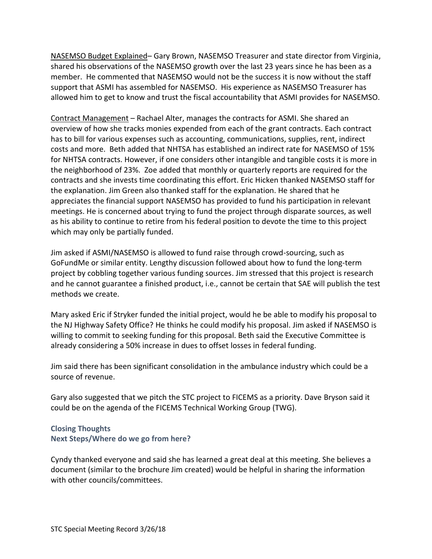NASEMSO Budget Explained– Gary Brown, NASEMSO Treasurer and state director from Virginia, shared his observations of the NASEMSO growth over the last 23 years since he has been as a member. He commented that NASEMSO would not be the success it is now without the staff support that ASMI has assembled for NASEMSO. His experience as NASEMSO Treasurer has allowed him to get to know and trust the fiscal accountability that ASMI provides for NASEMSO.

Contract Management – Rachael Alter, manages the contracts for ASMI. She shared an overview of how she tracks monies expended from each of the grant contracts. Each contract has to bill for various expenses such as accounting, communications, supplies, rent, indirect costs and more. Beth added that NHTSA has established an indirect rate for NASEMSO of 15% for NHTSA contracts. However, if one considers other intangible and tangible costs it is more in the neighborhood of 23%. Zoe added that monthly or quarterly reports are required for the contracts and she invests time coordinating this effort. Eric Hicken thanked NASEMSO staff for the explanation. Jim Green also thanked staff for the explanation. He shared that he appreciates the financial support NASEMSO has provided to fund his participation in relevant meetings. He is concerned about trying to fund the project through disparate sources, as well as his ability to continue to retire from his federal position to devote the time to this project which may only be partially funded.

Jim asked if ASMI/NASEMSO is allowed to fund raise through crowd-sourcing, such as GoFundMe or similar entity. Lengthy discussion followed about how to fund the long-term project by cobbling together various funding sources. Jim stressed that this project is research and he cannot guarantee a finished product, i.e., cannot be certain that SAE will publish the test methods we create.

Mary asked Eric if Stryker funded the initial project, would he be able to modify his proposal to the NJ Highway Safety Office? He thinks he could modify his proposal. Jim asked if NASEMSO is willing to commit to seeking funding for this proposal. Beth said the Executive Committee is already considering a 50% increase in dues to offset losses in federal funding.

Jim said there has been significant consolidation in the ambulance industry which could be a source of revenue.

Gary also suggested that we pitch the STC project to FICEMS as a priority. Dave Bryson said it could be on the agenda of the FICEMS Technical Working Group (TWG).

## **Closing Thoughts Next Steps/Where do we go from here?**

Cyndy thanked everyone and said she has learned a great deal at this meeting. She believes a document (similar to the brochure Jim created) would be helpful in sharing the information with other councils/committees.